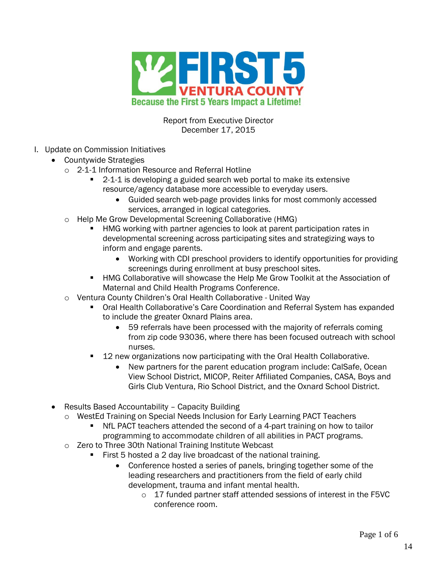

Report from Executive Director December 17, 2015

- I. Update on Commission Initiatives
	- Countywide Strategies
		- o 2-1-1 Information Resource and Referral Hotline
			- 2-1-1 is developing a guided search web portal to make its extensive resource/agency database more accessible to everyday users.
				- Guided search web-page provides links for most commonly accessed services, arranged in logical categories.
		- o Help Me Grow Developmental Screening Collaborative (HMG)
			- HMG working with partner agencies to look at parent participation rates in developmental screening across participating sites and strategizing ways to inform and engage parents.
				- Working with CDI preschool providers to identify opportunities for providing screenings during enrollment at busy preschool sites.
			- HMG Collaborative will showcase the Help Me Grow Toolkit at the Association of Maternal and Child Health Programs Conference.
		- o Ventura County Children's Oral Health Collaborative United Way
			- Oral Health Collaborative's Care Coordination and Referral System has expanded to include the greater Oxnard Plains area.
				- 59 referrals have been processed with the majority of referrals coming from zip code 93036, where there has been focused outreach with school nurses.
			- 12 new organizations now participating with the Oral Health Collaborative.
				- New partners for the parent education program include: CalSafe, Ocean View School District, MICOP, Reiter Affiliated Companies, CASA, Boys and Girls Club Ventura, Rio School District, and the Oxnard School District.
	- Results Based Accountability Capacity Building
		- o WestEd Training on Special Needs Inclusion for Early Learning PACT Teachers
			- NfL PACT teachers attended the second of a 4-part training on how to tailor programming to accommodate children of all abilities in PACT programs.
		- o Zero to Three 30th National Training Institute Webcast
			- First 5 hosted a 2 day live broadcast of the national training.
				- Conference hosted a series of panels, bringing together some of the leading researchers and practitioners from the field of early child development, trauma and infant mental health.
					- o 17 funded partner staff attended sessions of interest in the F5VC conference room.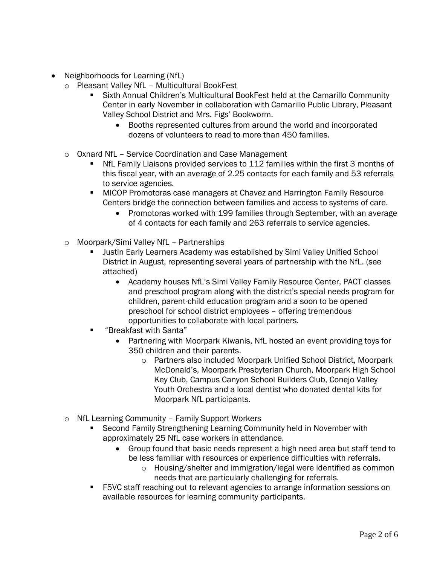- Neighborhoods for Learning (NfL)
	- o Pleasant Valley NfL Multicultural BookFest
		- Sixth Annual Children's Multicultural BookFest held at the Camarillo Community Center in early November in collaboration with Camarillo Public Library, Pleasant Valley School District and Mrs. Figs' Bookworm.
			- Booths represented cultures from around the world and incorporated dozens of volunteers to read to more than 450 families.
	- o Oxnard NfL Service Coordination and Case Management
		- NfL Family Liaisons provided services to 112 families within the first 3 months of this fiscal year, with an average of 2.25 contacts for each family and 53 referrals to service agencies.
		- **MICOP Promotoras case managers at Chavez and Harrington Family Resource** Centers bridge the connection between families and access to systems of care.
			- Promotoras worked with 199 families through September, with an average of 4 contacts for each family and 263 referrals to service agencies.
	- o Moorpark/Simi Valley NfL Partnerships
		- Justin Early Learners Academy was established by Simi Valley Unified School District in August, representing several years of partnership with the NfL. (see attached)
			- Academy houses NfL's Simi Valley Family Resource Center, PACT classes and preschool program along with the district's special needs program for children, parent-child education program and a soon to be opened preschool for school district employees – offering tremendous opportunities to collaborate with local partners.
		- "Breakfast with Santa"
			- Partnering with Moorpark Kiwanis, NfL hosted an event providing toys for 350 children and their parents.
				- o Partners also included Moorpark Unified School District, Moorpark McDonald's, Moorpark Presbyterian Church, Moorpark High School Key Club, Campus Canyon School Builders Club, Conejo Valley Youth Orchestra and a local dentist who donated dental kits for Moorpark NfL participants.
	- o NfL Learning Community Family Support Workers
		- Second Family Strengthening Learning Community held in November with approximately 25 NfL case workers in attendance.
			- Group found that basic needs represent a high need area but staff tend to be less familiar with resources or experience difficulties with referrals.
				- o Housing/shelter and immigration/legal were identified as common needs that are particularly challenging for referrals.
		- F5VC staff reaching out to relevant agencies to arrange information sessions on available resources for learning community participants.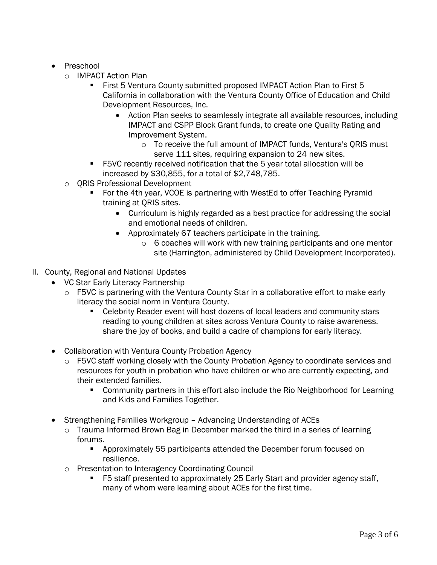- Preschool
	- o IMPACT Action Plan
		- **First 5 Ventura County submitted proposed IMPACT Action Plan to First 5** California in collaboration with the Ventura County Office of Education and Child Development Resources, Inc.
			- Action Plan seeks to seamlessly integrate all available resources, including IMPACT and CSPP Block Grant funds, to create one Quality Rating and Improvement System.
				- o To receive the full amount of IMPACT funds, Ventura's QRIS must serve 111 sites, requiring expansion to 24 new sites.
		- F5VC recently received notification that the 5 year total allocation will be increased by \$30,855, for a total of \$2,748,785.
	- o QRIS Professional Development
		- For the 4th year, VCOE is partnering with WestEd to offer Teaching Pyramid training at QRIS sites.
			- Curriculum is highly regarded as a best practice for addressing the social and emotional needs of children.
			- Approximately 67 teachers participate in the training.
				- o 6 coaches will work with new training participants and one mentor site (Harrington, administered by Child Development Incorporated).
- II. County, Regional and National Updates
	- VC Star Early Literacy Partnership
		- o F5VC is partnering with the Ventura County Star in a collaborative effort to make early literacy the social norm in Ventura County.
			- **EXECEDERITY Celebrity Reader event will host dozens of local leaders and community stars** reading to young children at sites across Ventura County to raise awareness, share the joy of books, and build a cadre of champions for early literacy.
	- Collaboration with Ventura County Probation Agency
		- o F5VC staff working closely with the County Probation Agency to coordinate services and resources for youth in probation who have children or who are currently expecting, and their extended families.
			- **Community partners in this effort also include the Rio Neighborhood for Learning** and Kids and Families Together.
	- Strengthening Families Workgroup Advancing Understanding of ACEs
		- o Trauma Informed Brown Bag in December marked the third in a series of learning forums.
			- **•** Approximately 55 participants attended the December forum focused on resilience.
		- o Presentation to Interagency Coordinating Council
			- F5 staff presented to approximately 25 Early Start and provider agency staff, many of whom were learning about ACEs for the first time.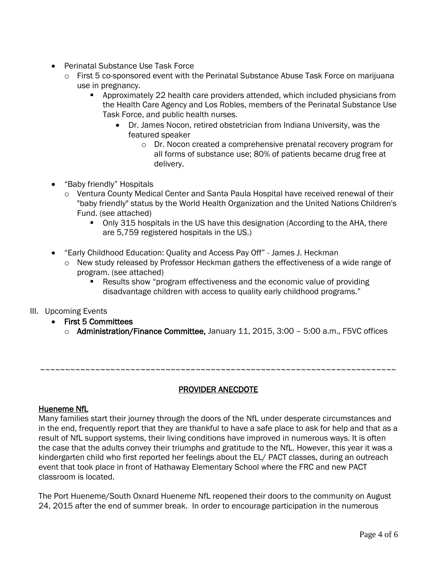- Perinatal Substance Use Task Force
	- $\circ$  First 5 co-sponsored event with the Perinatal Substance Abuse Task Force on marijuana use in pregnancy.
		- Approximately 22 health care providers attended, which included physicians from the Health Care Agency and Los Robles, members of the Perinatal Substance Use Task Force, and public health nurses.
			- Dr. James Nocon, retired obstetrician from Indiana University, was the featured speaker
				- o Dr. Nocon created a comprehensive prenatal recovery program for all forms of substance use; 80% of patients became drug free at delivery.
- "Baby friendly" Hospitals
	- o Ventura County Medical Center and Santa Paula Hospital have received renewal of their "baby friendly" status by the World Health Organization and the United Nations Children's Fund. (see attached)
		- Only 315 hospitals in the US have this designation (According to the AHA, there are 5,759 registered hospitals in the US.)
- "Early Childhood Education: Quality and Access Pay Off" James J. Heckman
	- o New study released by Professor Heckman gathers the effectiveness of a wide range of program. (see attached)
		- Results show "program effectiveness and the economic value of providing disadvantage children with access to quality early childhood programs."
- III. Upcoming Events
	- First 5 Committees
		- o Administration/Finance Committee, January 11, 2015, 3:00 5:00 a.m., F5VC offices

~~~~~~~~~~~~~~~~~~~~~~~~~~~~~~~~~~~~~~~~~~~~~~~~~~~~~~~~~~~~~~~~~~~~~~~

## PROVIDER ANECDOTE

## Hueneme NfL

Many families start their journey through the doors of the NfL under desperate circumstances and in the end, frequently report that they are thankful to have a safe place to ask for help and that as a result of NfL support systems, their living conditions have improved in numerous ways. It is often the case that the adults convey their triumphs and gratitude to the NfL. However, this year it was a kindergarten child who first reported her feelings about the EL/ PACT classes, during an outreach event that took place in front of Hathaway Elementary School where the FRC and new PACT classroom is located.

The Port Hueneme/South Oxnard Hueneme NfL reopened their doors to the community on August 24, 2015 after the end of summer break. In order to encourage participation in the numerous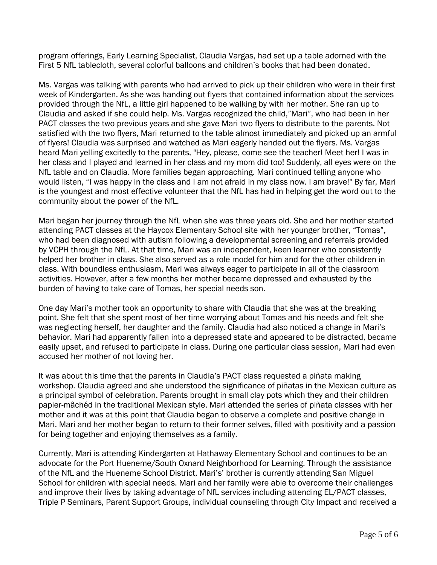program offerings, Early Learning Specialist, Claudia Vargas, had set up a table adorned with the First 5 NfL tablecloth, several colorful balloons and children's books that had been donated.

Ms. Vargas was talking with parents who had arrived to pick up their children who were in their first week of Kindergarten. As she was handing out flyers that contained information about the services provided through the NfL, a little girl happened to be walking by with her mother. She ran up to Claudia and asked if she could help. Ms. Vargas recognized the child,"Mari", who had been in her PACT classes the two previous years and she gave Mari two flyers to distribute to the parents. Not satisfied with the two flyers, Mari returned to the table almost immediately and picked up an armful of flyers! Claudia was surprised and watched as Mari eagerly handed out the flyers. Ms. Vargas heard Mari yelling excitedly to the parents, "Hey, please, come see the teacher! Meet her! I was in her class and I played and learned in her class and my mom did too! Suddenly, all eyes were on the NfL table and on Claudia. More families began approaching. Mari continued telling anyone who would listen, "I was happy in the class and I am not afraid in my class now. I am brave!" By far, Mari is the youngest and most effective volunteer that the NfL has had in helping get the word out to the community about the power of the NfL.

Mari began her journey through the NfL when she was three years old. She and her mother started attending PACT classes at the Haycox Elementary School site with her younger brother, "Tomas", who had been diagnosed with autism following a developmental screening and referrals provided by VCPH through the NfL. At that time, Mari was an independent, keen learner who consistently helped her brother in class. She also served as a role model for him and for the other children in class. With boundless enthusiasm, Mari was always eager to participate in all of the classroom activities. However, after a few months her mother became depressed and exhausted by the burden of having to take care of Tomas, her special needs son.

One day Mari's mother took an opportunity to share with Claudia that she was at the breaking point. She felt that she spent most of her time worrying about Tomas and his needs and felt she was neglecting herself, her daughter and the family. Claudia had also noticed a change in Mari's behavior. Mari had apparently fallen into a depressed state and appeared to be distracted, became easily upset, and refused to participate in class. During one particular class session, Mari had even accused her mother of not loving her.

It was about this time that the parents in Claudia's PACT class requested a piñata making workshop. Claudia agreed and she understood the significance of piñatas in the Mexican culture as a principal symbol of celebration. Parents brought in small clay pots which they and their children papier-mâchéd in the traditional Mexican style. Mari attended the series of piñata classes with her mother and it was at this point that Claudia began to observe a complete and positive change in Mari. Mari and her mother began to return to their former selves, filled with positivity and a passion for being together and enjoying themselves as a family.

Currently, Mari is attending Kindergarten at Hathaway Elementary School and continues to be an advocate for the Port Hueneme/South Oxnard Neighborhood for Learning. Through the assistance of the NfL and the Hueneme School District, Mari's' brother is currently attending San Miguel School for children with special needs. Mari and her family were able to overcome their challenges and improve their lives by taking advantage of NfL services including attending EL/PACT classes, Triple P Seminars, Parent Support Groups, individual counseling through City Impact and received a